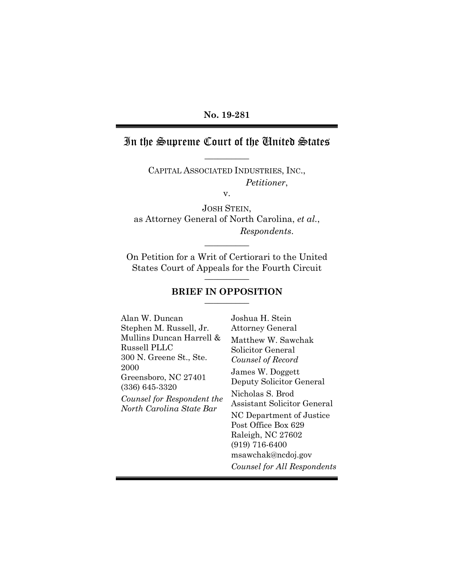### **No. 19-281**

# In the Supreme Court of the United States **\_\_\_\_\_\_\_\_\_\_**

CAPITAL ASSOCIATED INDUSTRIES, INC., *Petitioner*,

v.

JOSH STEIN, as Attorney General of North Carolina, *et al.*, *Respondents*.

**\_\_\_\_\_\_\_\_\_\_**

On Petition for a Writ of Certiorari to the United States Court of Appeals for the Fourth Circuit **\_\_\_\_\_\_\_\_\_\_**

#### **BRIEF IN OPPOSITION \_\_\_\_\_\_\_\_\_\_**

| Alan W. Duncan                                                                                                                                                                           | Joshua H. Stein                                                                                                                                                                                                                                                                                                    |
|------------------------------------------------------------------------------------------------------------------------------------------------------------------------------------------|--------------------------------------------------------------------------------------------------------------------------------------------------------------------------------------------------------------------------------------------------------------------------------------------------------------------|
| Stephen M. Russell, Jr.                                                                                                                                                                  | <b>Attorney General</b>                                                                                                                                                                                                                                                                                            |
| Mullins Duncan Harrell &<br><b>Russell PLLC</b><br>300 N. Greene St., Ste.<br>2000<br>Greensboro, NC 27401<br>$(336)$ 645-3320<br>Counsel for Respondent the<br>North Carolina State Bar | Matthew W. Sawchak<br>Solicitor General<br>Counsel of Record<br>James W. Doggett<br>Deputy Solicitor General<br>Nicholas S. Brod<br>Assistant Solicitor General<br>NC Department of Justice<br>Post Office Box 629<br>Raleigh, NC 27602<br>$(919) 716 - 6400$<br>msawchak@ncdoj.gov<br>Counsel for All Respondents |
|                                                                                                                                                                                          |                                                                                                                                                                                                                                                                                                                    |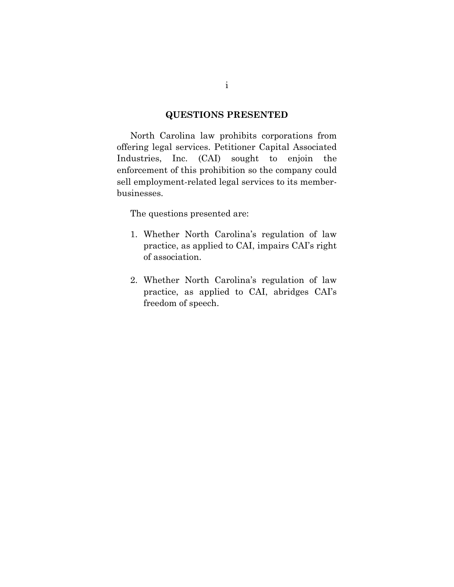### **QUESTIONS PRESENTED**

North Carolina law prohibits corporations from offering legal services. Petitioner Capital Associated Industries, Inc. (CAI) sought to enjoin the enforcement of this prohibition so the company could sell employment-related legal services to its memberbusinesses.

The questions presented are:

- 1. Whether North Carolina's regulation of law practice, as applied to CAI, impairs CAI's right of association.
- 2. Whether North Carolina's regulation of law practice, as applied to CAI, abridges CAI's freedom of speech.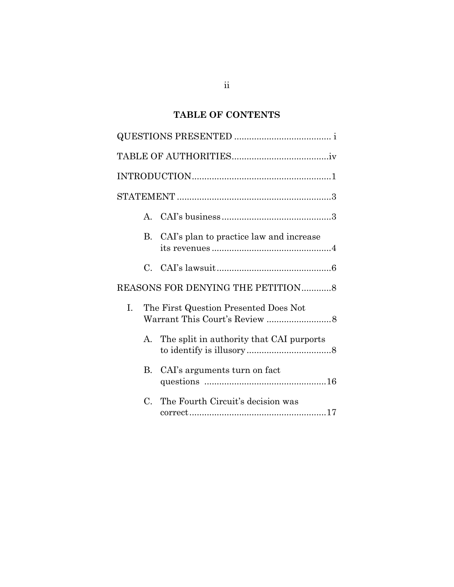# **TABLE OF CONTENTS**

|    | $\mathbf{A}$ |                                          |
|----|--------------|------------------------------------------|
|    | В.           | CAI's plan to practice law and increase  |
|    | $\mathbf C$  |                                          |
|    |              | REASONS FOR DENYING THE PETITION8        |
| Ι. |              | The First Question Presented Does Not    |
|    | $A_{-}$      | The split in authority that CAI purports |
|    | $B_{\rm c}$  | CAI's arguments turn on fact             |
|    | $C_{\cdot}$  | The Fourth Circuit's decision was        |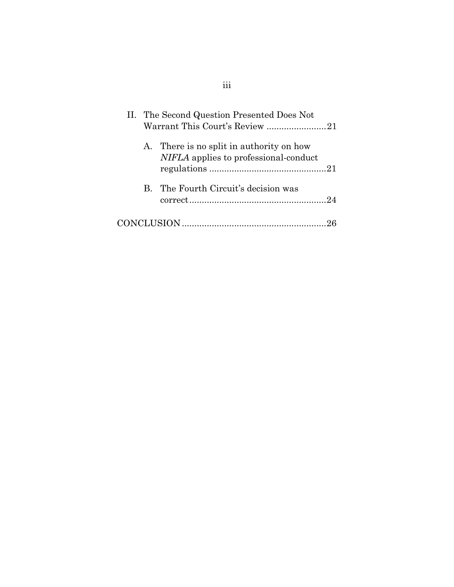|  | II. The Second Question Presented Does Not                                        |
|--|-----------------------------------------------------------------------------------|
|  | Warrant This Court's Review 21                                                    |
|  | A. There is no split in authority on how<br>NIFLA applies to professional-conduct |
|  |                                                                                   |
|  | B. The Fourth Circuit's decision was                                              |
|  |                                                                                   |
|  |                                                                                   |

# iii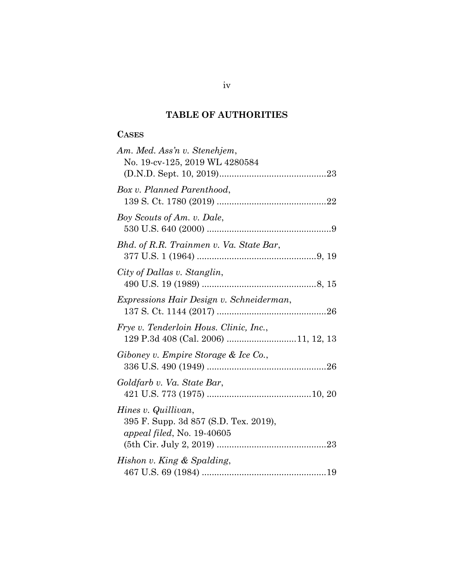### **TABLE OF AUTHORITIES**

### <span id="page-4-0"></span>**CASES**

| Am. Med. Ass'n v. Stenehjem,<br>No. 19-cv-125, 2019 WL 4280584                                    |
|---------------------------------------------------------------------------------------------------|
| Box v. Planned Parenthood,                                                                        |
| Boy Scouts of Am. v. Dale,                                                                        |
| Bhd. of R.R. Trainmen v. Va. State Bar,                                                           |
| City of Dallas v. Stanglin,                                                                       |
| Expressions Hair Design v. Schneiderman,                                                          |
| Frye v. Tenderloin Hous. Clinic, Inc.,                                                            |
| Giboney v. Empire Storage & Ice Co.,                                                              |
| Goldfarb v. Va. State Bar,                                                                        |
| Hines v. Quillivan,<br>395 F. Supp. 3d 857 (S.D. Tex. 2019),<br><i>appeal filed, No.</i> 19-40605 |
| Hishon v. King & Spalding,                                                                        |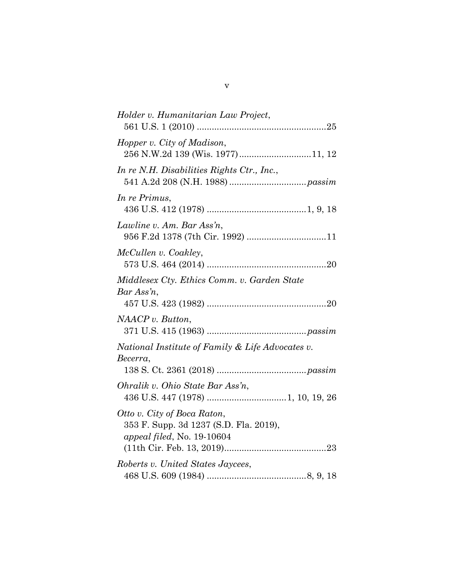| Holder v. Humanitarian Law Project,                                                                 |
|-----------------------------------------------------------------------------------------------------|
|                                                                                                     |
| Hopper v. City of Madison,<br>256 N.W.2d 139 (Wis. 1977)11, 12                                      |
| In re N.H. Disabilities Rights Ctr., Inc.,                                                          |
| In re Primus,                                                                                       |
| Lawline v. Am. Bar Ass'n,                                                                           |
| McCullen v. Coakley,                                                                                |
| Middlesex Cty. Ethics Comm. v. Garden State<br>$Bar Assn$ ,                                         |
| NAACP v. But ton,                                                                                   |
| National Institute of Family & Life Advocates v.<br>Becerra,                                        |
| Ohralik v. Ohio State Bar Ass'n,                                                                    |
| Otto v. City of Boca Raton,<br>353 F. Supp. 3d 1237 (S.D. Fla. 2019),<br>appeal filed, No. 19-10604 |
| Roberts v. United States Jaycees,                                                                   |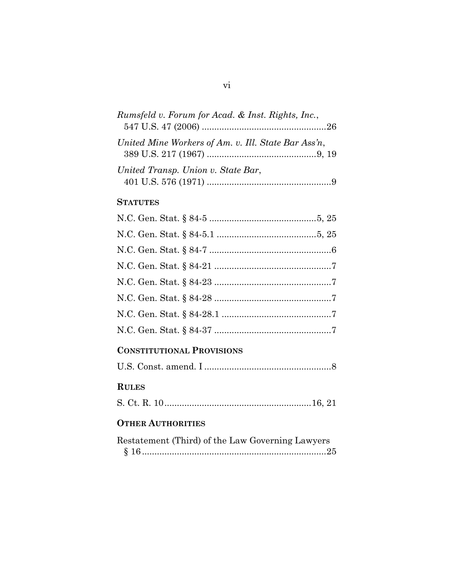| Rumsfeld v. Forum for Acad. & Inst. Rights, Inc.,   |  |
|-----------------------------------------------------|--|
|                                                     |  |
| United Mine Workers of Am. v. Ill. State Bar Ass'n, |  |
|                                                     |  |
| United Transp. Union v. State Bar,                  |  |
|                                                     |  |

### **STATUTES**

### **CONSTITUTIONAL PROVISIONS**

|--|--|

# **RULES**

|--|--|

## **OTHER AUTHORITIES**

| Restatement (Third) of the Law Governing Lawyers |  |  |
|--------------------------------------------------|--|--|
|                                                  |  |  |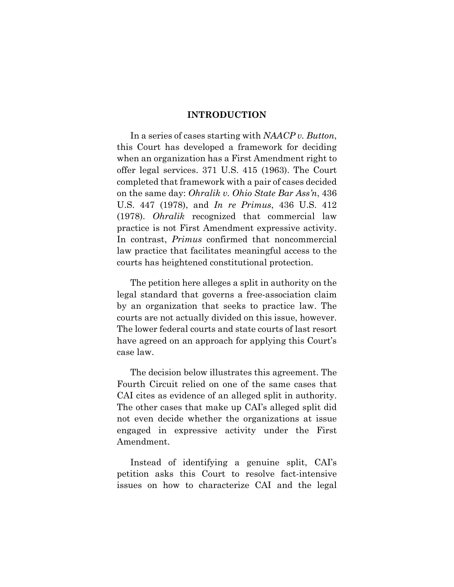#### **INTRODUCTION**

<span id="page-7-0"></span>In a series of cases starting with *NAACP v. Button*, this Court has developed a framework for deciding when an organization has a First Amendment right to offer legal services. 371 U.S. 415 (1963). The Court completed that framework with a pair of cases decided on the same day: *Ohralik v. Ohio State Bar Ass'n*, 436 U.S. 447 (1978), and *In re Primus*, 436 U.S. 412 (1978). *Ohralik* recognized that commercial law practice is not First Amendment expressive activity. In contrast, *Primus* confirmed that noncommercial law practice that facilitates meaningful access to the courts has heightened constitutional protection.

The petition here alleges a split in authority on the legal standard that governs a free-association claim by an organization that seeks to practice law. The courts are not actually divided on this issue, however. The lower federal courts and state courts of last resort have agreed on an approach for applying this Court's case law.

The decision below illustrates this agreement. The Fourth Circuit relied on one of the same cases that CAI cites as evidence of an alleged split in authority. The other cases that make up CAI's alleged split did not even decide whether the organizations at issue engaged in expressive activity under the First Amendment.

Instead of identifying a genuine split, CAI's petition asks this Court to resolve fact-intensive issues on how to characterize CAI and the legal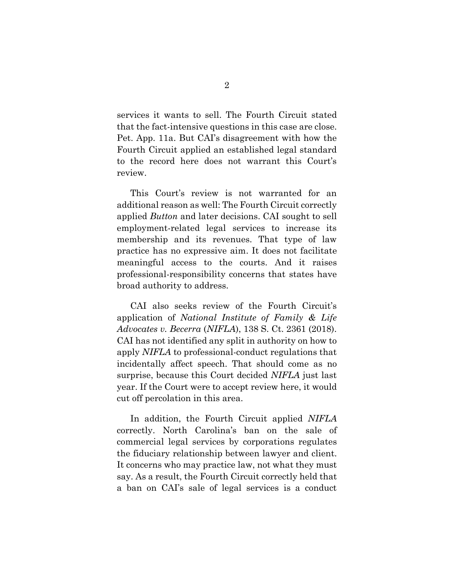services it wants to sell. The Fourth Circuit stated that the fact-intensive questions in this case are close. Pet. App. 11a. But CAI's disagreement with how the Fourth Circuit applied an established legal standard to the record here does not warrant this Court's review.

This Court's review is not warranted for an additional reason as well: The Fourth Circuit correctly applied *Button* and later decisions. CAI sought to sell employment-related legal services to increase its membership and its revenues. That type of law practice has no expressive aim. It does not facilitate meaningful access to the courts. And it raises professional-responsibility concerns that states have broad authority to address.

CAI also seeks review of the Fourth Circuit's application of *National Institute of Family & Life Advocates v. Becerra* (*NIFLA*), 138 S. Ct. 2361 (2018). CAI has not identified any split in authority on how to apply *NIFLA* to professional-conduct regulations that incidentally affect speech. That should come as no surprise, because this Court decided *NIFLA* just last year. If the Court were to accept review here, it would cut off percolation in this area.

In addition, the Fourth Circuit applied *NIFLA* correctly. North Carolina's ban on the sale of commercial legal services by corporations regulates the fiduciary relationship between lawyer and client. It concerns who may practice law, not what they must say. As a result, the Fourth Circuit correctly held that a ban on CAI's sale of legal services is a conduct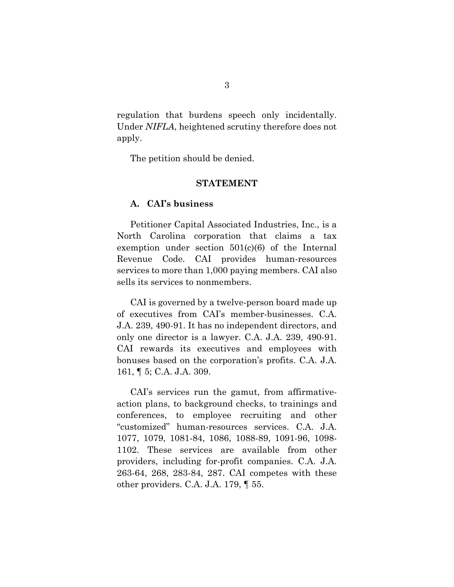regulation that burdens speech only incidentally. Under *NIFLA*, heightened scrutiny therefore does not apply.

The petition should be denied.

#### **STATEMENT**

#### <span id="page-9-1"></span><span id="page-9-0"></span>**A. CAI's business**

Petitioner Capital Associated Industries, Inc., is a North Carolina corporation that claims a tax exemption under section 501(c)(6) of the Internal Revenue Code. CAI provides human-resources services to more than 1,000 paying members. CAI also sells its services to nonmembers.

CAI is governed by a twelve-person board made up of executives from CAI's member-businesses. C.A. J.A. 239, 490-91. It has no independent directors, and only one director is a lawyer. C.A. J.A. 239, 490-91. CAI rewards its executives and employees with bonuses based on the corporation's profits. C.A. J.A. 161, ¶ 5; C.A. J.A. 309.

CAI's services run the gamut, from affirmativeaction plans, to background checks, to trainings and conferences, to employee recruiting and other "customized" human-resources services. C.A. J.A. 1077, 1079, 1081-84, 1086, 1088-89, 1091-96, 1098- 1102. These services are available from other providers, including for-profit companies. C.A. J.A. 263-64, 268, 283-84, 287. CAI competes with these other providers. C.A. J.A. 179, ¶ 55.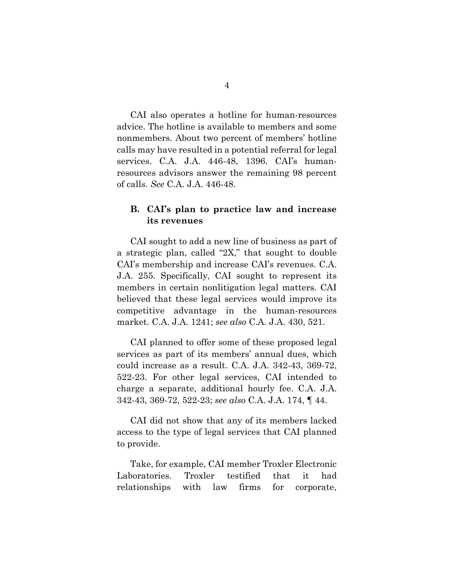CAI also operates a hotline for human-resources advice. The hotline is available to members and some nonmembers. About two percent of members' hotline calls may have resulted in a potential referral for legal services. C.A. J.A. 446-48, 1396. CAI's humanresources advisors answer the remaining 98 percent of calls. *See* C.A. J.A. 446-48.

### **B. CAI's plan to practice law and increase its revenues**

CAI sought to add a new line of business as part of a strategic plan, called "2X," that sought to double CAI's membership and increase CAI's revenues. C.A. J.A. 255. Specifically, CAI sought to represent its members in certain nonlitigation legal matters. CAI believed that these legal services would improve its competitive advantage in the human-resources market. C.A. J.A. 1241; *see also* C.A. J.A. 430, 521.

CAI planned to offer some of these proposed legal services as part of its members' annual dues, which could increase as a result. C.A. J.A. 342-43, 369-72, 522-23. For other legal services, CAI intended to charge a separate, additional hourly fee. C.A. J.A. 342-43, 369-72, 522-23; *see also* C.A. J.A. 174, ¶ 44.

CAI did not show that any of its members lacked access to the type of legal services that CAI planned to provide.

Take, for example, CAI member Troxler Electronic Laboratories. Troxler testified that it had relationships with law firms for corporate,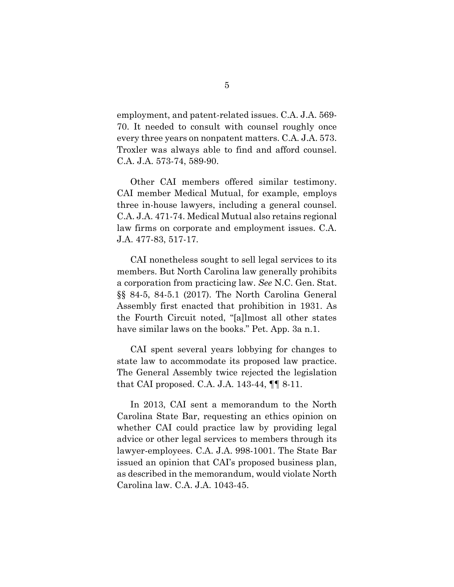employment, and patent-related issues. C.A. J.A. 569- 70. It needed to consult with counsel roughly once every three years on nonpatent matters. C.A. J.A. 573. Troxler was always able to find and afford counsel. C.A. J.A. 573-74, 589-90.

Other CAI members offered similar testimony. CAI member Medical Mutual, for example, employs three in-house lawyers, including a general counsel. C.A. J.A. 471-74. Medical Mutual also retains regional law firms on corporate and employment issues. C.A. J.A. 477-83, 517-17.

CAI nonetheless sought to sell legal services to its members. But North Carolina law generally prohibits a corporation from practicing law. *See* N.C. Gen. Stat. §§ 84-5, 84-5.1 (2017). The North Carolina General Assembly first enacted that prohibition in 1931. As the Fourth Circuit noted, "[a]lmost all other states have similar laws on the books." Pet. App. 3a n.1.

CAI spent several years lobbying for changes to state law to accommodate its proposed law practice. The General Assembly twice rejected the legislation that CAI proposed. C.A. J.A. 143-44, ¶¶ 8-11.

In 2013, CAI sent a memorandum to the North Carolina State Bar, requesting an ethics opinion on whether CAI could practice law by providing legal advice or other legal services to members through its lawyer-employees. C.A. J.A. 998-1001. The State Bar issued an opinion that CAI's proposed business plan, as described in the memorandum, would violate North Carolina law. C.A. J.A. 1043-45.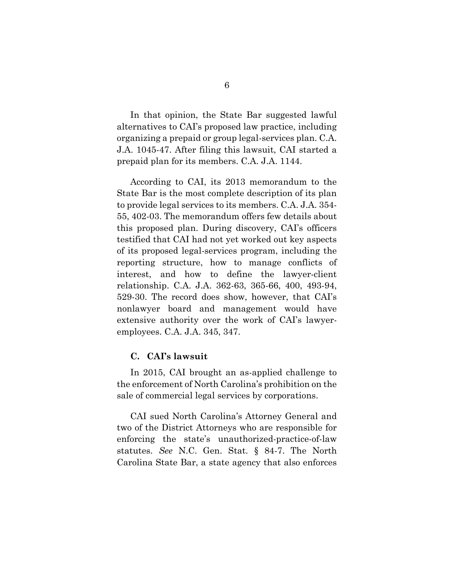In that opinion, the State Bar suggested lawful alternatives to CAI's proposed law practice, including organizing a prepaid or group legal-services plan. C.A. J.A. 1045-47. After filing this lawsuit, CAI started a prepaid plan for its members. C.A. J.A. 1144.

According to CAI, its 2013 memorandum to the State Bar is the most complete description of its plan to provide legal services to its members. C.A. J.A. 354- 55, 402-03. The memorandum offers few details about this proposed plan. During discovery, CAI's officers testified that CAI had not yet worked out key aspects of its proposed legal-services program, including the reporting structure, how to manage conflicts of interest, and how to define the lawyer-client relationship. C.A. J.A. 362-63, 365-66, 400, 493-94, 529-30. The record does show, however, that CAI's nonlawyer board and management would have extensive authority over the work of CAI's lawyeremployees. C.A. J.A. 345, 347.

#### **C. CAI's lawsuit**

In 2015, CAI brought an as-applied challenge to the enforcement of North Carolina's prohibition on the sale of commercial legal services by corporations.

CAI sued North Carolina's Attorney General and two of the District Attorneys who are responsible for enforcing the state's unauthorized-practice-of-law statutes. *See* N.C. Gen. Stat. § 84-7. The North Carolina State Bar, a state agency that also enforces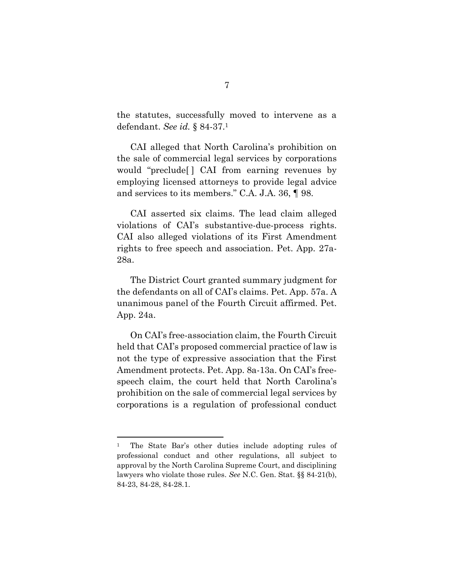the statutes, successfully moved to intervene as a defendant. *See id.* § 84-37. 1

CAI alleged that North Carolina's prohibition on the sale of commercial legal services by corporations would "preclude[ ] CAI from earning revenues by employing licensed attorneys to provide legal advice and services to its members." C.A. J.A. 36, ¶ 98.

CAI asserted six claims. The lead claim alleged violations of CAI's substantive-due-process rights. CAI also alleged violations of its First Amendment rights to free speech and association. Pet. App. 27a-28a.

The District Court granted summary judgment for the defendants on all of CAI's claims. Pet. App. 57a. A unanimous panel of the Fourth Circuit affirmed. Pet. App. 24a.

On CAI's free-association claim, the Fourth Circuit held that CAI's proposed commercial practice of law is not the type of expressive association that the First Amendment protects. Pet. App. 8a-13a. On CAI's freespeech claim, the court held that North Carolina's prohibition on the sale of commercial legal services by corporations is a regulation of professional conduct

 $\overline{a}$ 

<sup>1</sup> The State Bar's other duties include adopting rules of professional conduct and other regulations, all subject to approval by the North Carolina Supreme Court, and disciplining lawyers who violate those rules. *See* N.C. Gen. Stat. §§ 84-21(b), 84-23, 84-28, 84-28.1.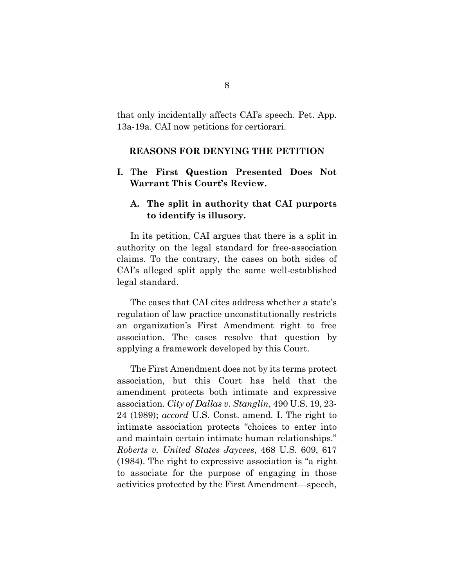that only incidentally affects CAI's speech. Pet. App. 13a-19a. CAI now petitions for certiorari.

#### **REASONS FOR DENYING THE PETITION**

### <span id="page-14-0"></span>**I. The First Question Presented Does Not Warrant This Court's Review.**

### <span id="page-14-1"></span>**A. The split in authority that CAI purports to identify is illusory.**

In its petition, CAI argues that there is a split in authority on the legal standard for free-association claims. To the contrary, the cases on both sides of CAI's alleged split apply the same well-established legal standard.

The cases that CAI cites address whether a state's regulation of law practice unconstitutionally restricts an organization's First Amendment right to free association. The cases resolve that question by applying a framework developed by this Court.

The First Amendment does not by its terms protect association, but this Court has held that the amendment protects both intimate and expressive association. *City of Dallas v. Stanglin*, 490 U.S. 19, 23- 24 (1989); *accord* U.S. Const. amend. I. The right to intimate association protects "choices to enter into and maintain certain intimate human relationships." *Roberts v. United States Jaycees*, 468 U.S. 609, 617 (1984). The right to expressive association is "a right to associate for the purpose of engaging in those activities protected by the First Amendment—speech,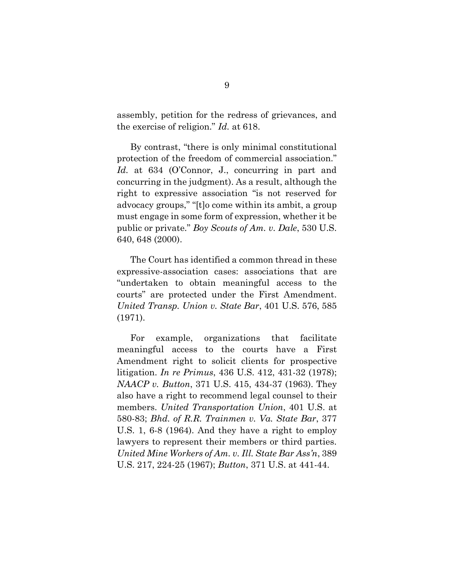assembly, petition for the redress of grievances, and the exercise of religion." *Id.* at 618.

By contrast, "there is only minimal constitutional protection of the freedom of commercial association." *Id.* at 634 (O'Connor, J., concurring in part and concurring in the judgment). As a result, although the right to expressive association "is not reserved for advocacy groups," "[t]o come within its ambit, a group must engage in some form of expression, whether it be public or private." *Boy Scouts of Am. v. Dale*, 530 U.S. 640, 648 (2000).

The Court has identified a common thread in these expressive-association cases: associations that are "undertaken to obtain meaningful access to the courts" are protected under the First Amendment. *United Transp. Union v. State Bar*, 401 U.S. 576, 585 (1971).

For example, organizations that facilitate meaningful access to the courts have a First Amendment right to solicit clients for prospective litigation. *In re Primus*, 436 U.S. 412, 431-32 (1978); *NAACP v. Button*, 371 U.S. 415, 434-37 (1963). They also have a right to recommend legal counsel to their members. *United Transportation Union*, 401 U.S. at 580-83; *Bhd. of R.R. Trainmen v. Va. State Bar*, 377 U.S. 1, 6-8 (1964). And they have a right to employ lawyers to represent their members or third parties. *United Mine Workers of Am. v. Ill. State Bar Ass'n*, 389 U.S. 217, 224-25 (1967); *Button*, 371 U.S. at 441-44.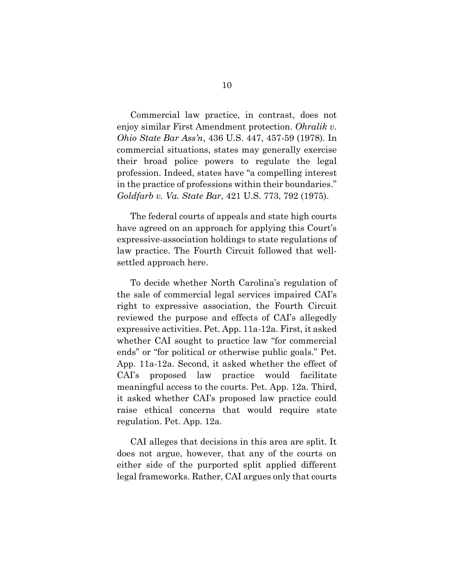Commercial law practice, in contrast, does not enjoy similar First Amendment protection. *Ohralik v. Ohio State Bar Ass'n*, 436 U.S. 447, 457-59 (1978). In commercial situations, states may generally exercise their broad police powers to regulate the legal profession. Indeed, states have "a compelling interest in the practice of professions within their boundaries." *Goldfarb v. Va. State Bar*, 421 U.S. 773, 792 (1975).

The federal courts of appeals and state high courts have agreed on an approach for applying this Court's expressive-association holdings to state regulations of law practice. The Fourth Circuit followed that wellsettled approach here.

To decide whether North Carolina's regulation of the sale of commercial legal services impaired CAI's right to expressive association, the Fourth Circuit reviewed the purpose and effects of CAI's allegedly expressive activities. Pet. App. 11a-12a. First, it asked whether CAI sought to practice law "for commercial ends" or "for political or otherwise public goals." Pet. App. 11a-12a. Second, it asked whether the effect of CAI's proposed law practice would facilitate meaningful access to the courts. Pet. App. 12a. Third, it asked whether CAI's proposed law practice could raise ethical concerns that would require state regulation. Pet. App. 12a.

CAI alleges that decisions in this area are split. It does not argue, however, that any of the courts on either side of the purported split applied different legal frameworks. Rather, CAI argues only that courts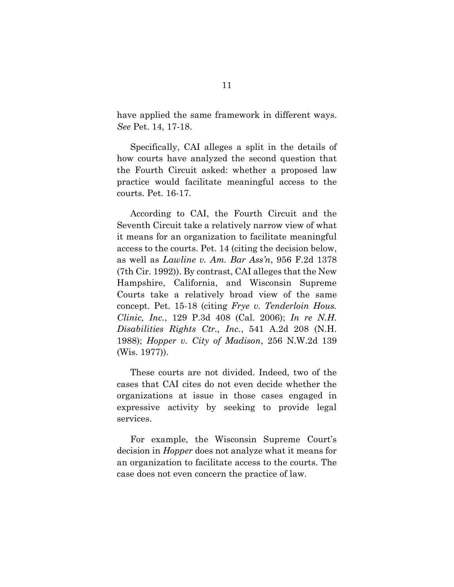have applied the same framework in different ways. *See* Pet. 14, 17-18.

Specifically, CAI alleges a split in the details of how courts have analyzed the second question that the Fourth Circuit asked: whether a proposed law practice would facilitate meaningful access to the courts. Pet. 16-17.

According to CAI, the Fourth Circuit and the Seventh Circuit take a relatively narrow view of what it means for an organization to facilitate meaningful access to the courts. Pet. 14 (citing the decision below, as well as *Lawline v. Am. Bar Ass'n*, 956 F.2d 1378 (7th Cir. 1992)). By contrast, CAI alleges that the New Hampshire, California, and Wisconsin Supreme Courts take a relatively broad view of the same concept. Pet. 15-18 (citing *Frye v. Tenderloin Hous. Clinic, Inc.*, 129 P.3d 408 (Cal. 2006); *In re N.H. Disabilities Rights Ctr., Inc.*, 541 A.2d 208 (N.H. 1988); *Hopper v. City of Madison*, 256 N.W.2d 139 (Wis. 1977)).

These courts are not divided. Indeed, two of the cases that CAI cites do not even decide whether the organizations at issue in those cases engaged in expressive activity by seeking to provide legal services.

For example, the Wisconsin Supreme Court's decision in *Hopper* does not analyze what it means for an organization to facilitate access to the courts. The case does not even concern the practice of law.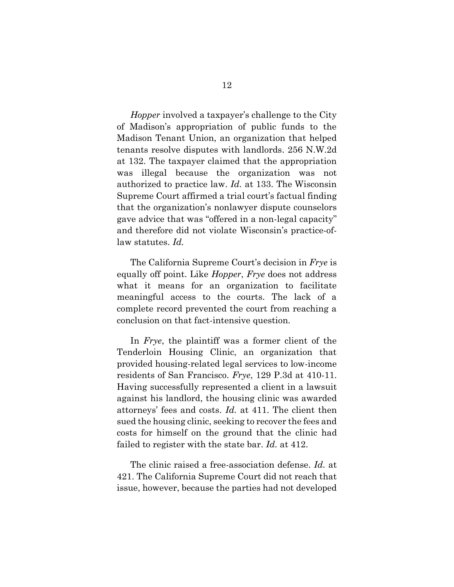*Hopper* involved a taxpayer's challenge to the City of Madison's appropriation of public funds to the Madison Tenant Union, an organization that helped tenants resolve disputes with landlords. 256 N.W.2d at 132. The taxpayer claimed that the appropriation was illegal because the organization was not authorized to practice law. *Id.* at 133. The Wisconsin Supreme Court affirmed a trial court's factual finding that the organization's nonlawyer dispute counselors gave advice that was "offered in a non-legal capacity" and therefore did not violate Wisconsin's practice-oflaw statutes. *Id.* 

The California Supreme Court's decision in *Frye* is equally off point. Like *Hopper*, *Frye* does not address what it means for an organization to facilitate meaningful access to the courts. The lack of a complete record prevented the court from reaching a conclusion on that fact-intensive question.

In *Frye*, the plaintiff was a former client of the Tenderloin Housing Clinic, an organization that provided housing-related legal services to low-income residents of San Francisco. *Frye*, 129 P.3d at 410-11. Having successfully represented a client in a lawsuit against his landlord, the housing clinic was awarded attorneys' fees and costs. *Id.* at 411. The client then sued the housing clinic, seeking to recover the fees and costs for himself on the ground that the clinic had failed to register with the state bar. *Id.* at 412.

The clinic raised a free-association defense. *Id.* at 421. The California Supreme Court did not reach that issue, however, because the parties had not developed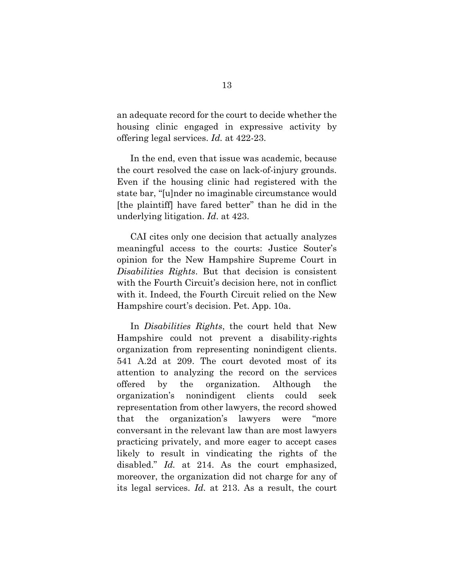an adequate record for the court to decide whether the housing clinic engaged in expressive activity by offering legal services. *Id.* at 422-23.

In the end, even that issue was academic, because the court resolved the case on lack-of-injury grounds. Even if the housing clinic had registered with the state bar, "[u]nder no imaginable circumstance would [the plaintiff] have fared better" than he did in the underlying litigation. *Id*. at 423.

CAI cites only one decision that actually analyzes meaningful access to the courts: Justice Souter's opinion for the New Hampshire Supreme Court in *Disabilities Rights*. But that decision is consistent with the Fourth Circuit's decision here, not in conflict with it. Indeed, the Fourth Circuit relied on the New Hampshire court's decision. Pet. App. 10a.

In *Disabilities Rights*, the court held that New Hampshire could not prevent a disability-rights organization from representing nonindigent clients. 541 A.2d at 209. The court devoted most of its attention to analyzing the record on the services offered by the organization. Although the organization's nonindigent clients could seek representation from other lawyers, the record showed that the organization's lawyers were "more conversant in the relevant law than are most lawyers practicing privately, and more eager to accept cases likely to result in vindicating the rights of the disabled." *Id.* at 214. As the court emphasized, moreover, the organization did not charge for any of its legal services. *Id.* at 213. As a result, the court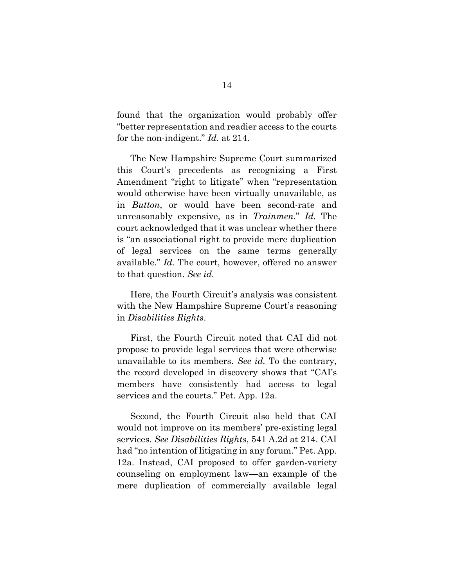found that the organization would probably offer "better representation and readier access to the courts for the non-indigent." *Id.* at 214.

The New Hampshire Supreme Court summarized this Court's precedents as recognizing a First Amendment "right to litigate" when "representation would otherwise have been virtually unavailable, as in *Button*, or would have been second-rate and unreasonably expensive, as in *Trainmen*." *Id.* The court acknowledged that it was unclear whether there is "an associational right to provide mere duplication of legal services on the same terms generally available." *Id.* The court, however, offered no answer to that question. *See id.*

Here, the Fourth Circuit's analysis was consistent with the New Hampshire Supreme Court's reasoning in *Disabilities Rights*.

First, the Fourth Circuit noted that CAI did not propose to provide legal services that were otherwise unavailable to its members. *See id.* To the contrary, the record developed in discovery shows that "CAI's members have consistently had access to legal services and the courts." Pet. App. 12a.

Second, the Fourth Circuit also held that CAI would not improve on its members' pre-existing legal services. *See Disabilities Rights*, 541 A.2d at 214. CAI had "no intention of litigating in any forum." Pet. App. 12a. Instead, CAI proposed to offer garden-variety counseling on employment law—an example of the mere duplication of commercially available legal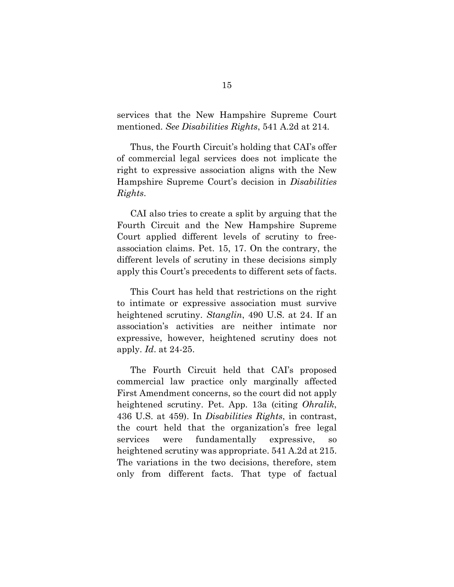services that the New Hampshire Supreme Court mentioned. *See Disabilities Rights*, 541 A.2d at 214*.* 

Thus, the Fourth Circuit's holding that CAI's offer of commercial legal services does not implicate the right to expressive association aligns with the New Hampshire Supreme Court's decision in *Disabilities Rights*.

CAI also tries to create a split by arguing that the Fourth Circuit and the New Hampshire Supreme Court applied different levels of scrutiny to freeassociation claims. Pet. 15, 17. On the contrary, the different levels of scrutiny in these decisions simply apply this Court's precedents to different sets of facts.

This Court has held that restrictions on the right to intimate or expressive association must survive heightened scrutiny. *Stanglin*, 490 U.S. at 24. If an association's activities are neither intimate nor expressive, however, heightened scrutiny does not apply. *Id*. at 24-25.

The Fourth Circuit held that CAI's proposed commercial law practice only marginally affected First Amendment concerns, so the court did not apply heightened scrutiny. Pet. App. 13a (citing *Ohralik*, 436 U.S. at 459). In *Disabilities Rights*, in contrast, the court held that the organization's free legal services were fundamentally expressive, so heightened scrutiny was appropriate. 541 A.2d at 215. The variations in the two decisions, therefore, stem only from different facts. That type of factual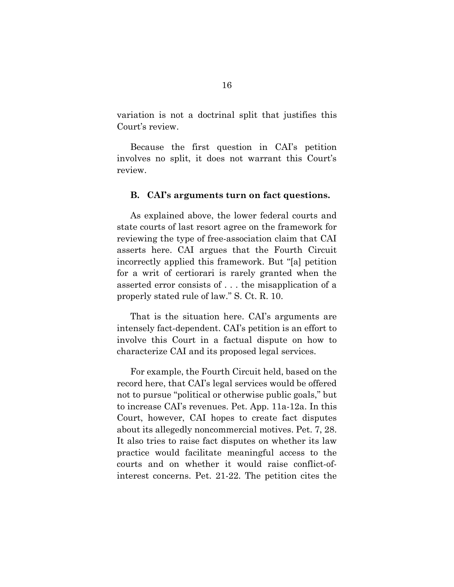variation is not a doctrinal split that justifies this Court's review.

Because the first question in CAI's petition involves no split, it does not warrant this Court's review.

#### **B. CAI's arguments turn on fact questions.**

As explained above, the lower federal courts and state courts of last resort agree on the framework for reviewing the type of free-association claim that CAI asserts here. CAI argues that the Fourth Circuit incorrectly applied this framework. But "[a] petition for a writ of certiorari is rarely granted when the asserted error consists of . . . the misapplication of a properly stated rule of law." S. Ct. R. 10.

That is the situation here. CAI's arguments are intensely fact-dependent. CAI's petition is an effort to involve this Court in a factual dispute on how to characterize CAI and its proposed legal services.

For example, the Fourth Circuit held, based on the record here, that CAI's legal services would be offered not to pursue "political or otherwise public goals," but to increase CAI's revenues. Pet. App. 11a-12a. In this Court, however, CAI hopes to create fact disputes about its allegedly noncommercial motives. Pet. 7, 28. It also tries to raise fact disputes on whether its law practice would facilitate meaningful access to the courts and on whether it would raise conflict-ofinterest concerns. Pet. 21-22. The petition cites the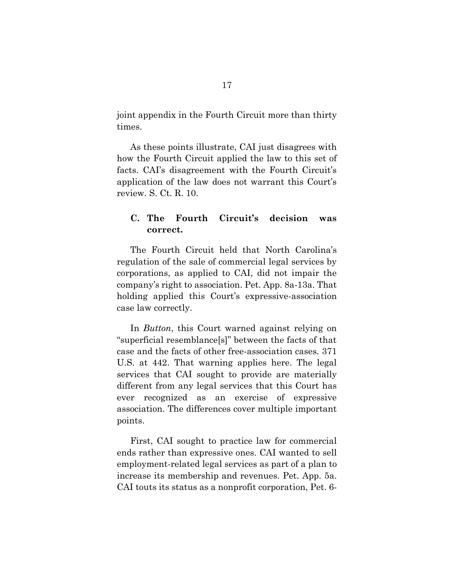joint appendix in the Fourth Circuit more than thirty times.

As these points illustrate, CAI just disagrees with how the Fourth Circuit applied the law to this set of facts. CAI's disagreement with the Fourth Circuit's application of the law does not warrant this Court's review. S. Ct. R. 10.

### <span id="page-23-0"></span>**C. The Fourth Circuit's decision was correct.**

The Fourth Circuit held that North Carolina's regulation of the sale of commercial legal services by corporations, as applied to CAI, did not impair the company's right to association. Pet. App. 8a-13a. That holding applied this Court's expressive-association case law correctly.

In *Button*, this Court warned against relying on "superficial resemblance[s]" between the facts of that case and the facts of other free-association cases. 371 U.S. at 442. That warning applies here. The legal services that CAI sought to provide are materially different from any legal services that this Court has ever recognized as an exercise of expressive association. The differences cover multiple important points.

First, CAI sought to practice law for commercial ends rather than expressive ones. CAI wanted to sell employment-related legal services as part of a plan to increase its membership and revenues. Pet. App. 5a. CAI touts its status as a nonprofit corporation, Pet. 6-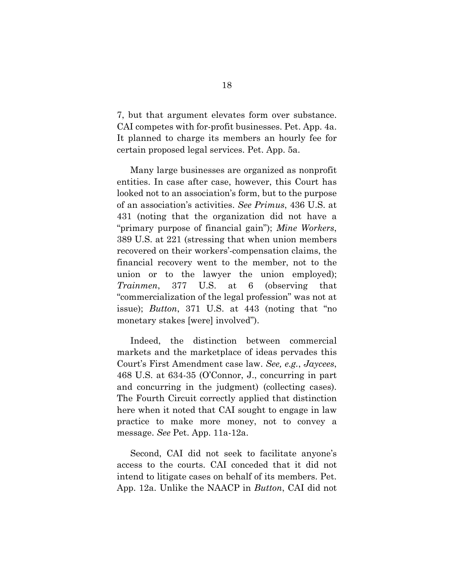7, but that argument elevates form over substance. CAI competes with for-profit businesses. Pet. App. 4a. It planned to charge its members an hourly fee for certain proposed legal services. Pet. App. 5a.

Many large businesses are organized as nonprofit entities. In case after case, however, this Court has looked not to an association's form, but to the purpose of an association's activities. *See Primus*, 436 U.S. at 431 (noting that the organization did not have a "primary purpose of financial gain"); *Mine Workers*, 389 U.S. at 221 (stressing that when union members recovered on their workers'-compensation claims, the financial recovery went to the member, not to the union or to the lawyer the union employed); *Trainmen*, 377 U.S. at 6 (observing that "commercialization of the legal profession" was not at issue); *Button*, 371 U.S. at 443 (noting that "no monetary stakes [were] involved").

Indeed, the distinction between commercial markets and the marketplace of ideas pervades this Court's First Amendment case law. *See, e.g.*, *Jaycees*, 468 U.S. at 634-35 (O'Connor, J., concurring in part and concurring in the judgment) (collecting cases). The Fourth Circuit correctly applied that distinction here when it noted that CAI sought to engage in law practice to make more money, not to convey a message. *See* Pet. App. 11a-12a.

Second, CAI did not seek to facilitate anyone's access to the courts. CAI conceded that it did not intend to litigate cases on behalf of its members. Pet. App. 12a. Unlike the NAACP in *Button*, CAI did not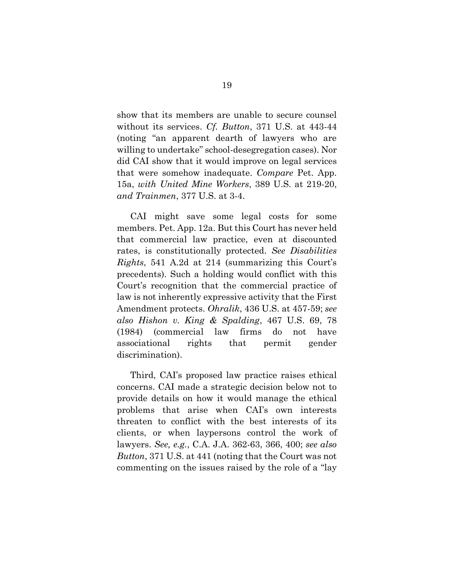show that its members are unable to secure counsel without its services. *Cf. Button*, 371 U.S. at 443-44 (noting "an apparent dearth of lawyers who are willing to undertake" school-desegregation cases). Nor did CAI show that it would improve on legal services that were somehow inadequate. *Compare* Pet. App. 15a, *with United Mine Workers*, 389 U.S. at 219-20, *and Trainmen*, 377 U.S. at 3-4.

CAI might save some legal costs for some members. Pet. App. 12a. But this Court has never held that commercial law practice, even at discounted rates, is constitutionally protected. *See Disabilities Rights*, 541 A.2d at 214 (summarizing this Court's precedents). Such a holding would conflict with this Court's recognition that the commercial practice of law is not inherently expressive activity that the First Amendment protects. *Ohralik*, 436 U.S. at 457-59; *see also Hishon v. King & Spalding*, 467 U.S. 69, 78 (1984) (commercial law firms do not have associational rights that permit gender discrimination).

Third, CAI's proposed law practice raises ethical concerns. CAI made a strategic decision below not to provide details on how it would manage the ethical problems that arise when CAI's own interests threaten to conflict with the best interests of its clients, or when laypersons control the work of lawyers. *See, e.g.*, C.A. J.A. 362-63, 366, 400; *see also Button*, 371 U.S. at 441 (noting that the Court was not commenting on the issues raised by the role of a "lay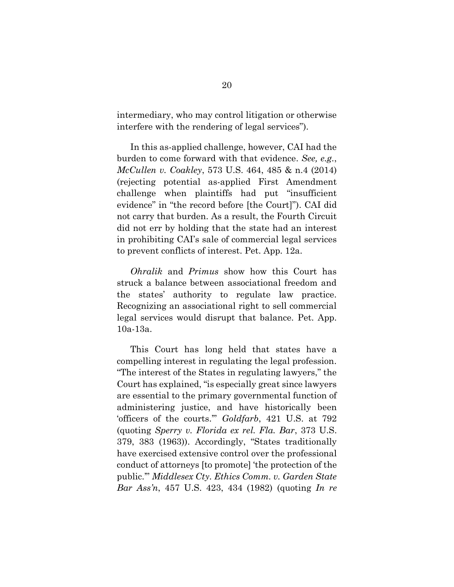intermediary, who may control litigation or otherwise interfere with the rendering of legal services").

In this as-applied challenge, however, CAI had the burden to come forward with that evidence. *See, e.g.*, *McCullen v. Coakley*, 573 U.S. 464, 485 & n.4 (2014) (rejecting potential as-applied First Amendment challenge when plaintiffs had put "insufficient evidence" in "the record before [the Court]"). CAI did not carry that burden. As a result, the Fourth Circuit did not err by holding that the state had an interest in prohibiting CAI's sale of commercial legal services to prevent conflicts of interest. Pet. App. 12a.

*Ohralik* and *Primus* show how this Court has struck a balance between associational freedom and the states' authority to regulate law practice. Recognizing an associational right to sell commercial legal services would disrupt that balance. Pet. App. 10a-13a.

This Court has long held that states have a compelling interest in regulating the legal profession. "The interest of the States in regulating lawyers," the Court has explained, "is especially great since lawyers are essential to the primary governmental function of administering justice, and have historically been 'officers of the courts.'" *Goldfarb*, 421 U.S. at 792 (quoting *Sperry v. Florida ex rel. Fla. Bar*, 373 U.S. 379, 383 (1963)). Accordingly, "States traditionally have exercised extensive control over the professional conduct of attorneys [to promote] 'the protection of the public.'" *Middlesex Cty. Ethics Comm. v. Garden State Bar Ass'n*, 457 U.S. 423, 434 (1982) (quoting *In re*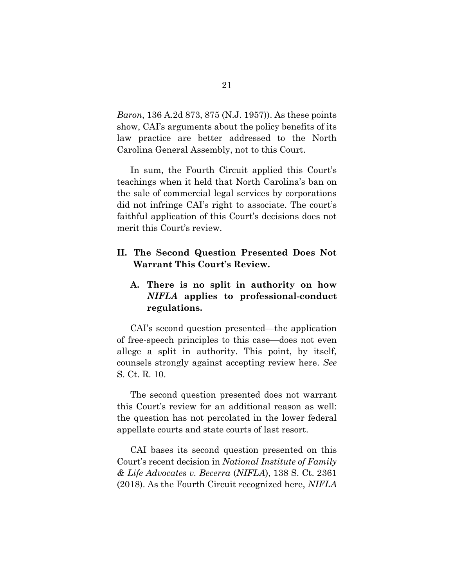*Baron*, 136 A.2d 873, 875 (N.J. 1957)). As these points show, CAI's arguments about the policy benefits of its law practice are better addressed to the North Carolina General Assembly, not to this Court.

In sum, the Fourth Circuit applied this Court's teachings when it held that North Carolina's ban on the sale of commercial legal services by corporations did not infringe CAI's right to associate. The court's faithful application of this Court's decisions does not merit this Court's review.

### **II. The Second Question Presented Does Not Warrant This Court's Review.**

### **A. There is no split in authority on how**  *NIFLA* **applies to professional-conduct regulations.**

CAI's second question presented—the application of free-speech principles to this case—does not even allege a split in authority. This point, by itself, counsels strongly against accepting review here. *See*  S. Ct. R. 10.

The second question presented does not warrant this Court's review for an additional reason as well: the question has not percolated in the lower federal appellate courts and state courts of last resort.

CAI bases its second question presented on this Court's recent decision in *National Institute of Family & Life Advocates v. Becerra* (*NIFLA*), 138 S. Ct. 2361 (2018). As the Fourth Circuit recognized here, *NIFLA*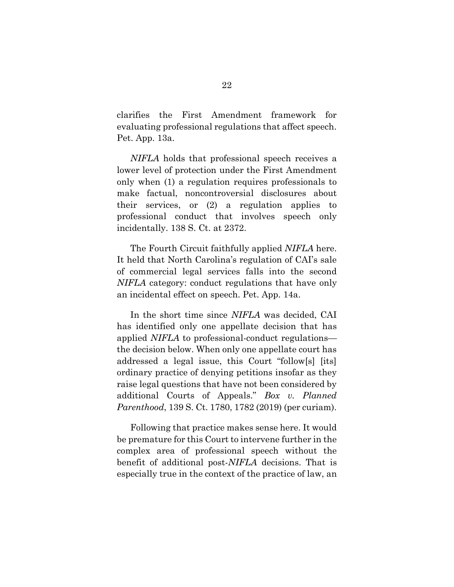clarifies the First Amendment framework for evaluating professional regulations that affect speech. Pet. App. 13a.

*NIFLA* holds that professional speech receives a lower level of protection under the First Amendment only when (1) a regulation requires professionals to make factual, noncontroversial disclosures about their services, or (2) a regulation applies to professional conduct that involves speech only incidentally. 138 S. Ct. at 2372.

The Fourth Circuit faithfully applied *NIFLA* here. It held that North Carolina's regulation of CAI's sale of commercial legal services falls into the second *NIFLA* category: conduct regulations that have only an incidental effect on speech. Pet. App. 14a.

In the short time since *NIFLA* was decided, CAI has identified only one appellate decision that has applied *NIFLA* to professional-conduct regulations the decision below. When only one appellate court has addressed a legal issue, this Court "follow[s] [its] ordinary practice of denying petitions insofar as they raise legal questions that have not been considered by additional Courts of Appeals." *Box v. Planned Parenthood*, 139 S. Ct. 1780, 1782 (2019) (per curiam).

Following that practice makes sense here. It would be premature for this Court to intervene further in the complex area of professional speech without the benefit of additional post-*NIFLA* decisions. That is especially true in the context of the practice of law, an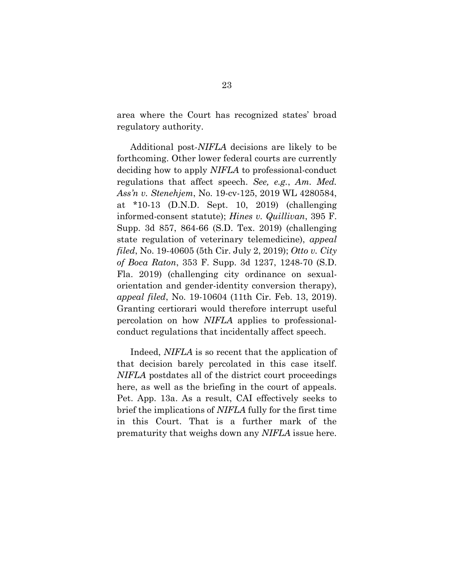area where the Court has recognized states' broad regulatory authority.

Additional post-*NIFLA* decisions are likely to be forthcoming. Other lower federal courts are currently deciding how to apply *NIFLA* to professional-conduct regulations that affect speech. *See, e.g.*, *Am. Med. Ass'n v. Stenehjem*, No. 19-cv-125, 2019 WL 4280584, at \*10-13 (D.N.D. Sept. 10, 2019) (challenging informed-consent statute); *Hines v. Quillivan*, 395 F. Supp. 3d 857, 864-66 (S.D. Tex. 2019) (challenging state regulation of veterinary telemedicine), *appeal filed*, No. 19-40605 (5th Cir. July 2, 2019); *Otto v. City of Boca Raton*, 353 F. Supp. 3d 1237, 1248-70 (S.D. Fla. 2019) (challenging city ordinance on sexualorientation and gender-identity conversion therapy), *appeal filed*, No. 19-10604 (11th Cir. Feb. 13, 2019). Granting certiorari would therefore interrupt useful percolation on how *NIFLA* applies to professionalconduct regulations that incidentally affect speech.

Indeed, *NIFLA* is so recent that the application of that decision barely percolated in this case itself. *NIFLA* postdates all of the district court proceedings here, as well as the briefing in the court of appeals. Pet. App. 13a. As a result, CAI effectively seeks to brief the implications of *NIFLA* fully for the first time in this Court. That is a further mark of the prematurity that weighs down any *NIFLA* issue here.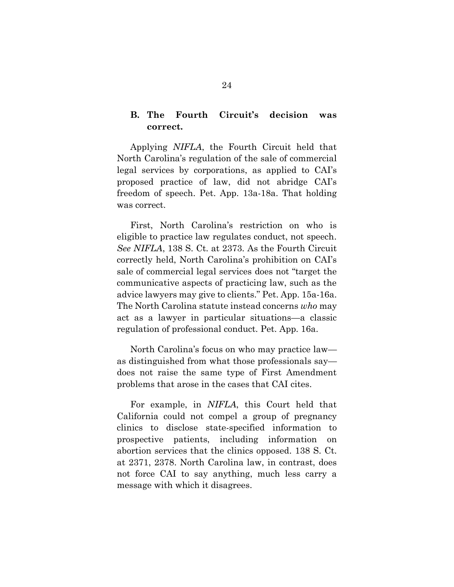### **B. The Fourth Circuit's decision was correct.**

Applying *NIFLA*, the Fourth Circuit held that North Carolina's regulation of the sale of commercial legal services by corporations, as applied to CAI's proposed practice of law, did not abridge CAI's freedom of speech. Pet. App. 13a-18a. That holding was correct.

First, North Carolina's restriction on who is eligible to practice law regulates conduct, not speech. *See NIFLA*, 138 S. Ct. at 2373. As the Fourth Circuit correctly held, North Carolina's prohibition on CAI's sale of commercial legal services does not "target the communicative aspects of practicing law, such as the advice lawyers may give to clients." Pet. App. 15a-16a. The North Carolina statute instead concerns *who* may act as a lawyer in particular situations—a classic regulation of professional conduct. Pet. App. 16a.

North Carolina's focus on who may practice law as distinguished from what those professionals say does not raise the same type of First Amendment problems that arose in the cases that CAI cites.

For example, in *NIFLA*, this Court held that California could not compel a group of pregnancy clinics to disclose state-specified information to prospective patients, including information on abortion services that the clinics opposed. 138 S. Ct. at 2371, 2378. North Carolina law, in contrast, does not force CAI to say anything, much less carry a message with which it disagrees.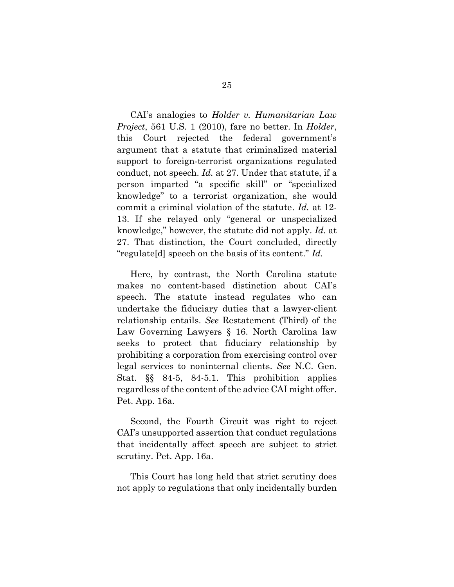CAI's analogies to *Holder v. Humanitarian Law Project*, 561 U.S. 1 (2010), fare no better. In *Holder*, this Court rejected the federal government's argument that a statute that criminalized material support to foreign-terrorist organizations regulated conduct, not speech. *Id.* at 27. Under that statute, if a person imparted "a specific skill" or "specialized knowledge" to a terrorist organization, she would commit a criminal violation of the statute. *Id.* at 12- 13. If she relayed only "general or unspecialized knowledge," however, the statute did not apply. *Id.* at 27. That distinction, the Court concluded, directly "regulate[d] speech on the basis of its content." *Id.*

Here, by contrast, the North Carolina statute makes no content-based distinction about CAI's speech. The statute instead regulates who can undertake the fiduciary duties that a lawyer-client relationship entails. *See* Restatement (Third) of the Law Governing Lawyers § 16. North Carolina law seeks to protect that fiduciary relationship by prohibiting a corporation from exercising control over legal services to noninternal clients. *See* N.C. Gen. Stat. §§ 84-5, 84-5.1. This prohibition applies regardless of the content of the advice CAI might offer. Pet. App. 16a.

Second, the Fourth Circuit was right to reject CAI's unsupported assertion that conduct regulations that incidentally affect speech are subject to strict scrutiny. Pet. App. 16a.

This Court has long held that strict scrutiny does not apply to regulations that only incidentally burden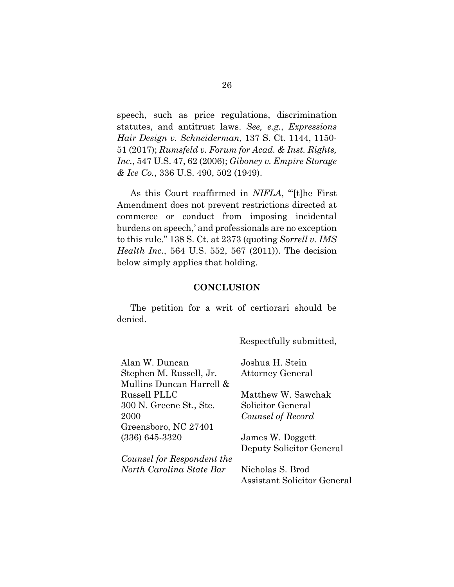speech, such as price regulations, discrimination statutes, and antitrust laws. *See, e.g.*, *Expressions Hair Design v. Schneiderman*, 137 S. Ct. 1144, 1150- 51 (2017); *Rumsfeld v. Forum for Acad. & Inst. Rights, Inc.*, 547 U.S. 47, 62 (2006); *Giboney v. Empire Storage & Ice Co.*, 336 U.S. 490, 502 (1949).

As this Court reaffirmed in *NIFLA*, "'[t]he First Amendment does not prevent restrictions directed at commerce or conduct from imposing incidental burdens on speech,' and professionals are no exception to this rule." 138 S. Ct. at 2373 (quoting *Sorrell v. IMS Health Inc.*, 564 U.S. 552, 567 (2011)). The decision below simply applies that holding.

#### **CONCLUSION**

The petition for a writ of certiorari should be denied.

Respectfully submitted,

| Alan W. Duncan             | Joshua H. Stein          |
|----------------------------|--------------------------|
| Stephen M. Russell, Jr.    | <b>Attorney General</b>  |
| Mullins Duncan Harrell &   |                          |
| Russell PLLC               | Matthew W. Sawchak       |
| 300 N. Greene St., Ste.    | Solicitor General        |
| 2000                       | Counsel of Record        |
| Greensboro, NC 27401       |                          |
| $(336)$ 645-3320           | James W. Doggett         |
|                            | Deputy Solicitor General |
| Counsel for Respondent the |                          |
| North Carolina State Bar   | Nicholas S. Brod         |

Nicholas S. Brod Assistant Solicitor General